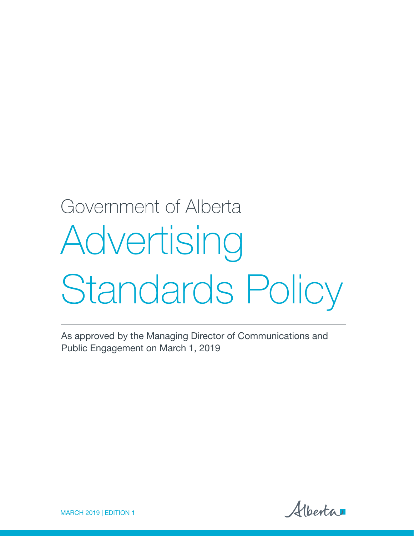# Advertising Standards Policy Government of Alberta

As approved by the Managing Director of Communications and Public Engagement on March 1, 2019

Alberta

MARCH 2019 | EDITION 1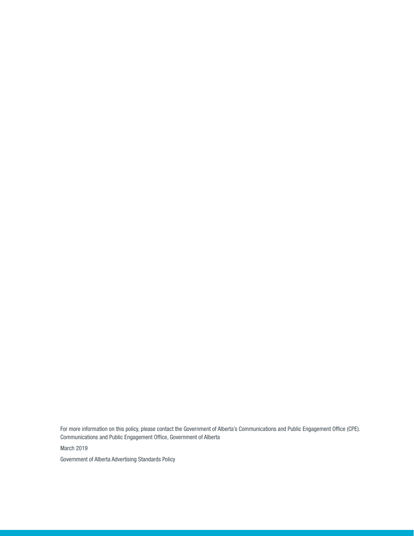For more information on this policy, please contact the Government of Alberta's Communications and Public Engagement Office (CPE). Communications and Public Engagement Office, Government of Alberta

March 2019

Government of Alberta Advertising Standards Policy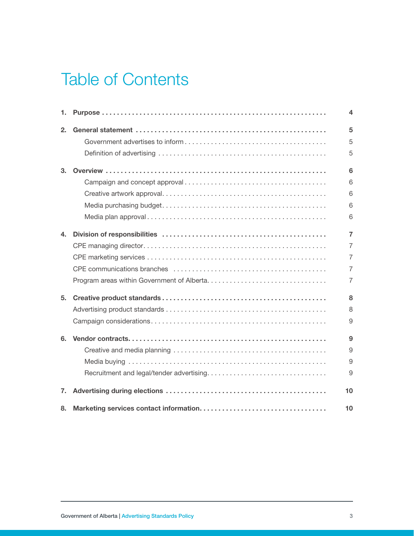### Table of Contents

| 1. | 4              |
|----|----------------|
| 2. | 5              |
|    | 5              |
|    | 5              |
| 3. | 6              |
|    | 6              |
|    | 6              |
|    | 6              |
|    | 6              |
| 4. | $\overline{7}$ |
|    | $\overline{7}$ |
|    | $\overline{7}$ |
|    | $\overline{7}$ |
|    | $\overline{7}$ |
| 5. | 8              |
|    | 8              |
|    | 9              |
| 6. | 9              |
|    | 9              |
|    | 9              |
|    | 9              |
| 7. | 10             |
| 8. | 10             |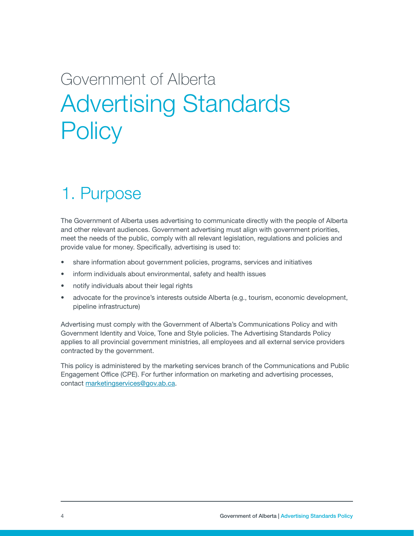## <span id="page-3-0"></span>Government of Alberta Advertising Standards **Policy**

### 1. Purpose

The Government of Alberta uses advertising to communicate directly with the people of Alberta and other relevant audiences. Government advertising must align with government priorities, meet the needs of the public, comply with all relevant legislation, regulations and policies and provide value for money. Specifically, advertising is used to:

- share information about government policies, programs, services and initiatives
- inform individuals about environmental, safety and health issues
- notify individuals about their legal rights
- advocate for the province's interests outside Alberta (e.g., tourism, economic development, pipeline infrastructure)

Advertising must comply with the Government of Alberta's Communications Policy and with Government Identity and Voice, Tone and Style policies. The Advertising Standards Policy applies to all provincial government ministries, all employees and all external service providers contracted by the government.

This policy is administered by the marketing services branch of the Communications and Public Engagement Office (CPE). For further information on marketing and advertising processes, contact [marketingservices@gov.ab.ca.](mailto:marketingservices@gov.ab.ca)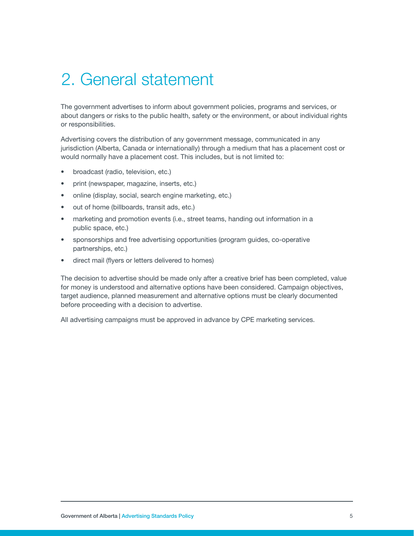### <span id="page-4-0"></span>2. General statement

The government advertises to inform about government policies, programs and services, or about dangers or risks to the public health, safety or the environment, or about individual rights or responsibilities.

Advertising covers the distribution of any government message, communicated in any jurisdiction (Alberta, Canada or internationally) through a medium that has a placement cost or would normally have a placement cost. This includes, but is not limited to:

- broadcast (radio, television, etc.)
- print (newspaper, magazine, inserts, etc.)
- online (display, social, search engine marketing, etc.)
- out of home (billboards, transit ads, etc.)
- marketing and promotion events (i.e., street teams, handing out information in a public space, etc.)
- sponsorships and free advertising opportunities (program guides, co-operative partnerships, etc.)
- direct mail (flyers or letters delivered to homes)

The decision to advertise should be made only after a creative brief has been completed, value for money is understood and alternative options have been considered. Campaign objectives, target audience, planned measurement and alternative options must be clearly documented before proceeding with a decision to advertise.

All advertising campaigns must be approved in advance by CPE marketing services.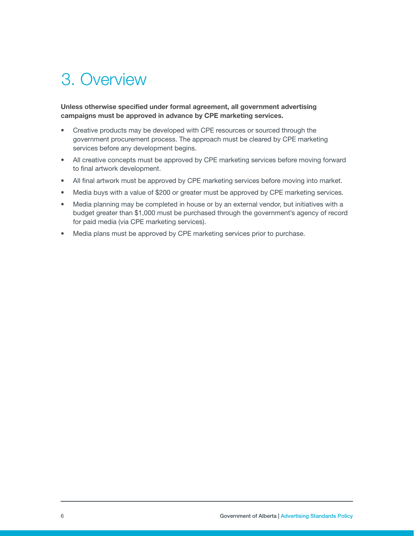### <span id="page-5-0"></span>3. Overview

Unless otherwise specified under formal agreement, all government advertising campaigns must be approved in advance by CPE marketing services.

- Creative products may be developed with CPE resources or sourced through the government procurement process. The approach must be cleared by CPE marketing services before any development begins.
- All creative concepts must be approved by CPE marketing services before moving forward to final artwork development.
- All final artwork must be approved by CPE marketing services before moving into market.
- Media buys with a value of \$200 or greater must be approved by CPE marketing services.
- Media planning may be completed in house or by an external vendor, but initiatives with a budget greater than \$1,000 must be purchased through the government's agency of record for paid media (via CPE marketing services).
- Media plans must be approved by CPE marketing services prior to purchase.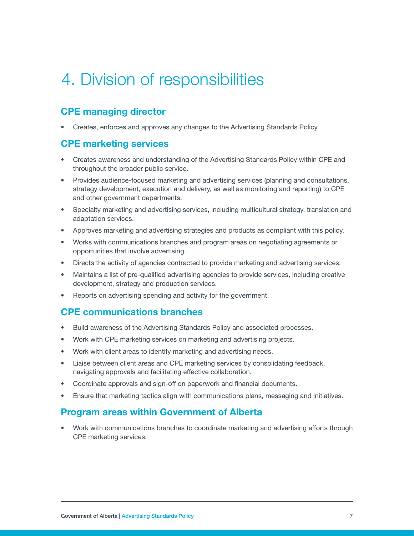### <span id="page-6-0"></span>4. Division of responsibilities

#### CPE managing director

• Creates, enforces and approves any changes to the Advertising Standards Policy.

#### CPE marketing services

- Creates awareness and understanding of the Advertising Standards Policy within CPE and throughout the broader public service.
- Provides audience-focused marketing and advertising services (planning and consultations, strategy development, execution and delivery, as well as monitoring and reporting) to CPE and other government departments.
- Specialty marketing and advertising services, including multicultural strategy, translation and adaptation services.
- Approves marketing and advertising strategies and products as compliant with this policy.
- Works with communications branches and program areas on negotiating agreements or opportunities that involve advertising.
- Directs the activity of agencies contracted to provide marketing and advertising services.
- Maintains a list of pre-qualified advertising agencies to provide services, including creative development, strategy and production services.
- Reports on advertising spending and activity for the government.

#### CPE communications branches

- Build awareness of the Advertising Standards Policy and associated processes.
- Work with CPE marketing services on marketing and advertising projects.
- Work with client areas to identify marketing and advertising needs.
- Liaise between client areas and CPE marketing services by consolidating feedback, navigating approvals and facilitating effective collaboration.
- Coordinate approvals and sign-off on paperwork and financial documents.
- Ensure that marketing tactics align with communications plans, messaging and initiatives.

#### Program areas within Government of Alberta

• Work with communications branches to coordinate marketing and advertising efforts through CPE marketing services.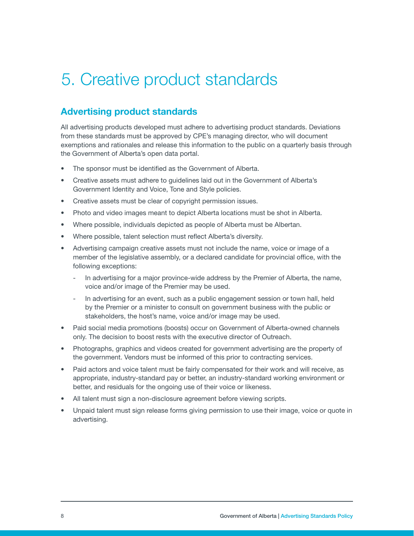### <span id="page-7-0"></span>5. Creative product standards

#### Advertising product standards

All advertising products developed must adhere to advertising product standards. Deviations from these standards must be approved by CPE's managing director, who will document exemptions and rationales and release this information to the public on a quarterly basis through the Government of Alberta's open data portal.

- The sponsor must be identified as the Government of Alberta.
- Creative assets must adhere to guidelines laid out in the Government of Alberta's Government Identity and Voice, Tone and Style policies.
- Creative assets must be clear of copyright permission issues.
- Photo and video images meant to depict Alberta locations must be shot in Alberta.
- Where possible, individuals depicted as people of Alberta must be Albertan.
- Where possible, talent selection must reflect Alberta's diversity.
- Advertising campaign creative assets must not include the name, voice or image of a member of the legislative assembly, or a declared candidate for provincial office, with the following exceptions:
	- In advertising for a major province-wide address by the Premier of Alberta, the name, voice and/or image of the Premier may be used.
	- In advertising for an event, such as a public engagement session or town hall, held by the Premier or a minister to consult on government business with the public or stakeholders, the host's name, voice and/or image may be used.
- Paid social media promotions (boosts) occur on Government of Alberta-owned channels only. The decision to boost rests with the executive director of Outreach.
- Photographs, graphics and videos created for government advertising are the property of the government. Vendors must be informed of this prior to contracting services.
- Paid actors and voice talent must be fairly compensated for their work and will receive, as appropriate, industry-standard pay or better, an industry-standard working environment or better, and residuals for the ongoing use of their voice or likeness.
- All talent must sign a non-disclosure agreement before viewing scripts.
- Unpaid talent must sign release forms giving permission to use their image, voice or quote in advertising.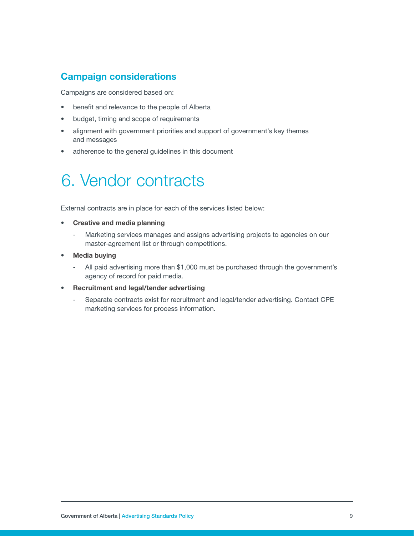#### <span id="page-8-0"></span>Campaign considerations

Campaigns are considered based on:

- benefit and relevance to the people of Alberta
- budget, timing and scope of requirements
- alignment with government priorities and support of government's key themes and messages
- adherence to the general guidelines in this document

### 6. Vendor contracts

External contracts are in place for each of the services listed below:

- **Creative and media planning** 
	- Marketing services manages and assigns advertising projects to agencies on our master-agreement list or through competitions.
- **Media buying** 
	- All paid advertising more than \$1,000 must be purchased through the government's agency of record for paid media.
- Recruitment and legal/tender advertising
	- Separate contracts exist for recruitment and legal/tender advertising. Contact CPE marketing services for process information.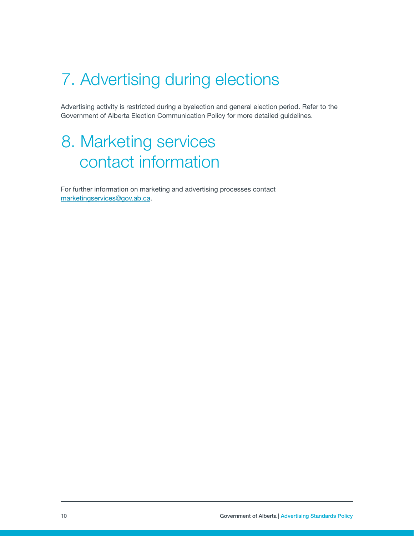### <span id="page-9-0"></span>7. Advertising during elections

Advertising activity is restricted during a byelection and general election period. Refer to the Government of Alberta Election Communication Policy for more detailed guidelines.

### 8. Marketing services contact information

For further information on marketing and advertising processes contact [marketingservices@gov.ab.ca](mailto:marketingservices@gov.ab.ca).